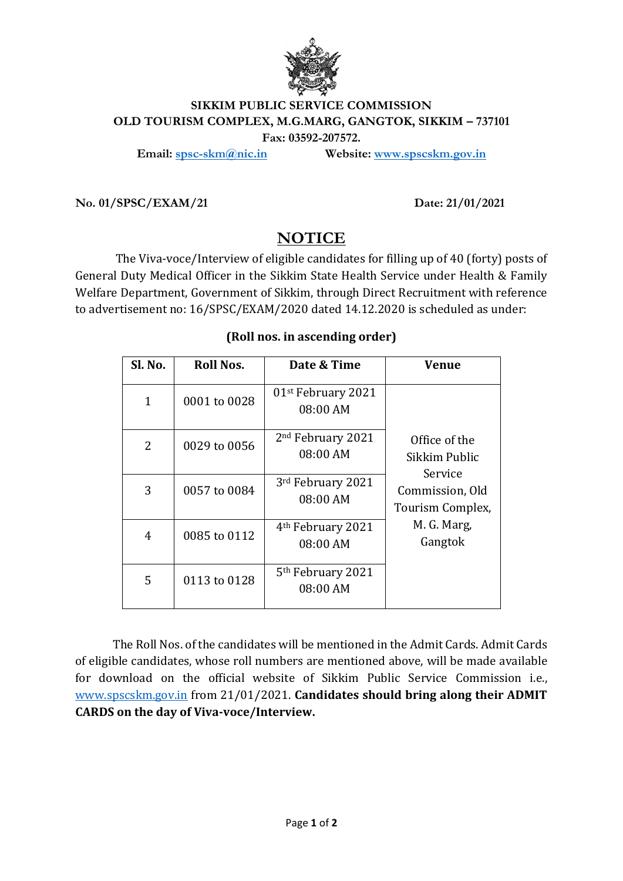

## **SIKKIM PUBLIC SERVICE COMMISSION OLD TOURISM COMPLEX, M.G.MARG, GANGTOK, SIKKIM – 737101 Fax: 03592-207572.**

**Email: [spsc-skm@nic.in](mailto:spsc-skm@nic.in) Website: [www.spscskm.gov.in](http://www.spscskm.gov.in/)**

**No. 01/SPSC/EXAM/21 Date: 21/01/2021**

## **NOTICE**

The Viva-voce/Interview of eligible candidates for filling up of 40 (forty) posts of General Duty Medical Officer in the Sikkim State Health Service under Health & Family Welfare Department, Government of Sikkim, through Direct Recruitment with reference to advertisement no: 16/SPSC/EXAM/2020 dated 14.12.2020 is scheduled as under:

## **(Roll nos. in ascending order)**

| Sl. No.      | Roll Nos.    | Date & Time                                | Venue                                                                                                      |
|--------------|--------------|--------------------------------------------|------------------------------------------------------------------------------------------------------------|
| $\mathbf{1}$ | 0001 to 0028 | 01 <sup>st</sup> February 2021<br>08:00 AM | Office of the<br>Sikkim Public<br>Service<br>Commission, Old<br>Tourism Complex,<br>M. G. Marg,<br>Gangtok |
| 2            | 0029 to 0056 | 2 <sup>nd</sup> February 2021<br>08:00 AM  |                                                                                                            |
| 3            | 0057 to 0084 | 3rd February 2021<br>08:00 AM              |                                                                                                            |
| 4            | 0085 to 0112 | 4 <sup>th</sup> February 2021<br>08:00 AM  |                                                                                                            |
| 5            | 0113 to 0128 | 5 <sup>th</sup> February 2021<br>08:00 AM  |                                                                                                            |

The Roll Nos. of the candidates will be mentioned in the Admit Cards. Admit Cards of eligible candidates, whose roll numbers are mentioned above, will be made available for download on the official website of Sikkim Public Service Commission i.e., [www.spscskm.gov.in](http://www.spscskm.gov.inm/) from 21/01/2021. **Candidates should bring along their ADMIT CARDS on the day of Viva-voce/Interview.**